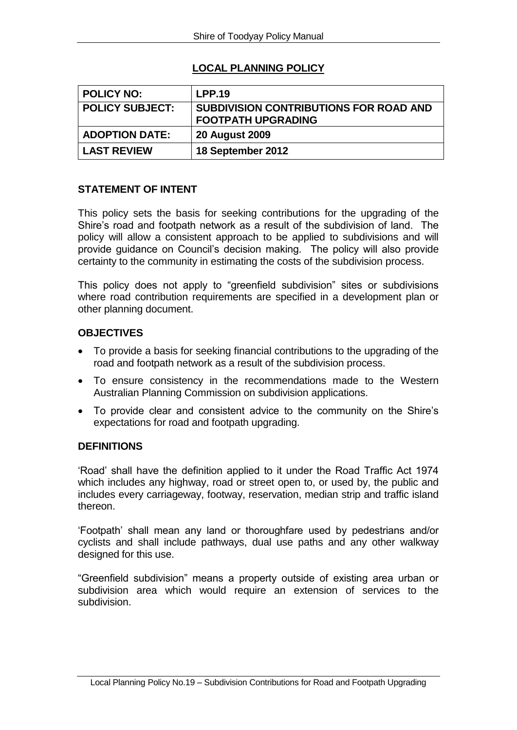# **LOCAL PLANNING POLICY**

| <b>POLICY NO:</b>      | <b>LPP.19</b>                                                              |
|------------------------|----------------------------------------------------------------------------|
| <b>POLICY SUBJECT:</b> | <b>SUBDIVISION CONTRIBUTIONS FOR ROAD AND</b><br><b>FOOTPATH UPGRADING</b> |
| <b>ADOPTION DATE:</b>  | <b>20 August 2009</b>                                                      |
| <b>LAST REVIEW</b>     | 18 September 2012                                                          |

### **STATEMENT OF INTENT**

This policy sets the basis for seeking contributions for the upgrading of the Shire's road and footpath network as a result of the subdivision of land. The policy will allow a consistent approach to be applied to subdivisions and will provide guidance on Council's decision making. The policy will also provide certainty to the community in estimating the costs of the subdivision process.

This policy does not apply to "greenfield subdivision" sites or subdivisions where road contribution requirements are specified in a development plan or other planning document.

### **OBJECTIVES**

- To provide a basis for seeking financial contributions to the upgrading of the road and footpath network as a result of the subdivision process.
- To ensure consistency in the recommendations made to the Western Australian Planning Commission on subdivision applications.
- To provide clear and consistent advice to the community on the Shire's expectations for road and footpath upgrading.

### **DEFINITIONS**

'Road' shall have the definition applied to it under the Road Traffic Act 1974 which includes any highway, road or street open to, or used by, the public and includes every carriageway, footway, reservation, median strip and traffic island thereon.

'Footpath' shall mean any land or thoroughfare used by pedestrians and/or cyclists and shall include pathways, dual use paths and any other walkway designed for this use.

"Greenfield subdivision" means a property outside of existing area urban or subdivision area which would require an extension of services to the subdivision.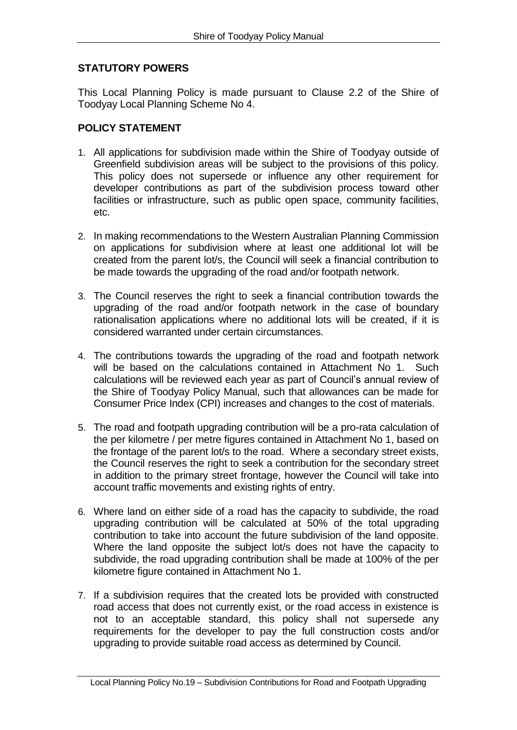## **STATUTORY POWERS**

This Local Planning Policy is made pursuant to Clause 2.2 of the Shire of Toodyay Local Planning Scheme No 4.

### **POLICY STATEMENT**

- 1. All applications for subdivision made within the Shire of Toodyay outside of Greenfield subdivision areas will be subject to the provisions of this policy. This policy does not supersede or influence any other requirement for developer contributions as part of the subdivision process toward other facilities or infrastructure, such as public open space, community facilities, etc.
- 2. In making recommendations to the Western Australian Planning Commission on applications for subdivision where at least one additional lot will be created from the parent lot/s, the Council will seek a financial contribution to be made towards the upgrading of the road and/or footpath network.
- 3. The Council reserves the right to seek a financial contribution towards the upgrading of the road and/or footpath network in the case of boundary rationalisation applications where no additional lots will be created, if it is considered warranted under certain circumstances.
- 4. The contributions towards the upgrading of the road and footpath network will be based on the calculations contained in Attachment No 1. Such calculations will be reviewed each year as part of Council's annual review of the Shire of Toodyay Policy Manual, such that allowances can be made for Consumer Price Index (CPI) increases and changes to the cost of materials.
- 5. The road and footpath upgrading contribution will be a pro-rata calculation of the per kilometre / per metre figures contained in Attachment No 1, based on the frontage of the parent lot/s to the road. Where a secondary street exists, the Council reserves the right to seek a contribution for the secondary street in addition to the primary street frontage, however the Council will take into account traffic movements and existing rights of entry.
- 6. Where land on either side of a road has the capacity to subdivide, the road upgrading contribution will be calculated at 50% of the total upgrading contribution to take into account the future subdivision of the land opposite. Where the land opposite the subject lot/s does not have the capacity to subdivide, the road upgrading contribution shall be made at 100% of the per kilometre figure contained in Attachment No 1.
- 7. If a subdivision requires that the created lots be provided with constructed road access that does not currently exist, or the road access in existence is not to an acceptable standard, this policy shall not supersede any requirements for the developer to pay the full construction costs and/or upgrading to provide suitable road access as determined by Council.

Local Planning Policy No.19 – Subdivision Contributions for Road and Footpath Upgrading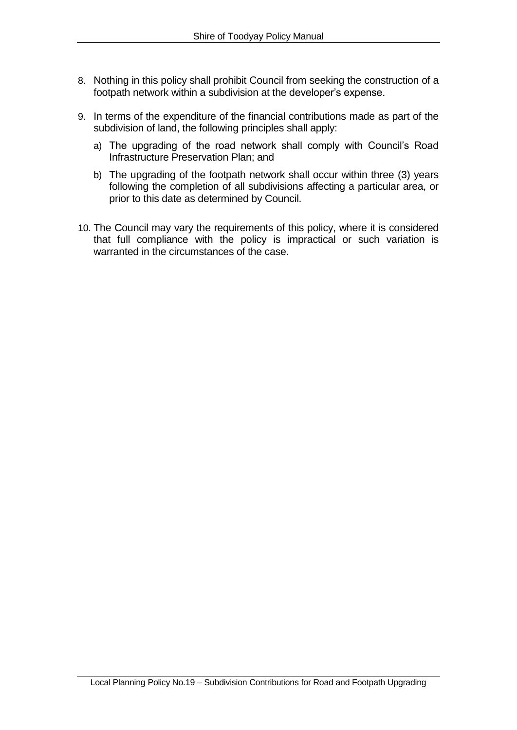- 8. Nothing in this policy shall prohibit Council from seeking the construction of a footpath network within a subdivision at the developer's expense.
- 9. In terms of the expenditure of the financial contributions made as part of the subdivision of land, the following principles shall apply:
	- a) The upgrading of the road network shall comply with Council's Road Infrastructure Preservation Plan; and
	- b) The upgrading of the footpath network shall occur within three (3) years following the completion of all subdivisions affecting a particular area, or prior to this date as determined by Council.
- 10. The Council may vary the requirements of this policy, where it is considered that full compliance with the policy is impractical or such variation is warranted in the circumstances of the case.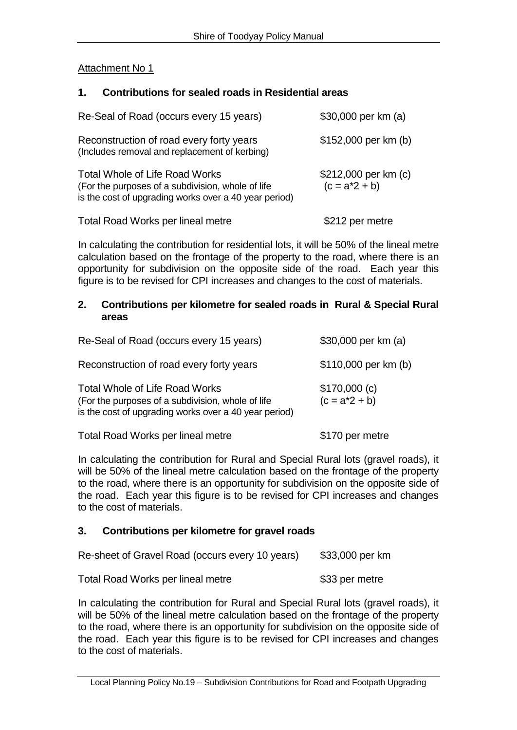## Attachment No 1

### **1. Contributions for sealed roads in Residential areas**

| Re-Seal of Road (occurs every 15 years)                                                                                                              | \$30,000 per km (a)                      |
|------------------------------------------------------------------------------------------------------------------------------------------------------|------------------------------------------|
| Reconstruction of road every forty years<br>(Includes removal and replacement of kerbing)                                                            | \$152,000 per km (b)                     |
| <b>Total Whole of Life Road Works</b><br>(For the purposes of a subdivision, whole of life)<br>is the cost of upgrading works over a 40 year period) | \$212,000 per km (c)<br>$(c = a^*2 + b)$ |
| <b>Total Road Works per lineal metre</b>                                                                                                             | \$212 per metre                          |

In calculating the contribution for residential lots, it will be 50% of the lineal metre calculation based on the frontage of the property to the road, where there is an opportunity for subdivision on the opposite side of the road. Each year this figure is to be revised for CPI increases and changes to the cost of materials.

#### **2. Contributions per kilometre for sealed roads in Rural & Special Rural areas**

| Re-Seal of Road (occurs every 15 years)                                                                                                              | \$30,000 per km (a)                |
|------------------------------------------------------------------------------------------------------------------------------------------------------|------------------------------------|
| Reconstruction of road every forty years                                                                                                             | \$110,000 per km (b)               |
| <b>Total Whole of Life Road Works</b><br>(For the purposes of a subdivision, whole of life)<br>is the cost of upgrading works over a 40 year period) | $$170,000$ (c)<br>$(c = a^*2 + b)$ |

Total Road Works per lineal metre **\$170 per metre** 

In calculating the contribution for Rural and Special Rural lots (gravel roads), it will be 50% of the lineal metre calculation based on the frontage of the property to the road, where there is an opportunity for subdivision on the opposite side of the road. Each year this figure is to be revised for CPI increases and changes to the cost of materials.

## **3. Contributions per kilometre for gravel roads**

| Re-sheet of Gravel Road (occurs every 10 years) | \$33,000 per km |
|-------------------------------------------------|-----------------|
|-------------------------------------------------|-----------------|

Total Road Works per lineal metre **\$33 per metre** 

In calculating the contribution for Rural and Special Rural lots (gravel roads), it will be 50% of the lineal metre calculation based on the frontage of the property to the road, where there is an opportunity for subdivision on the opposite side of the road. Each year this figure is to be revised for CPI increases and changes to the cost of materials.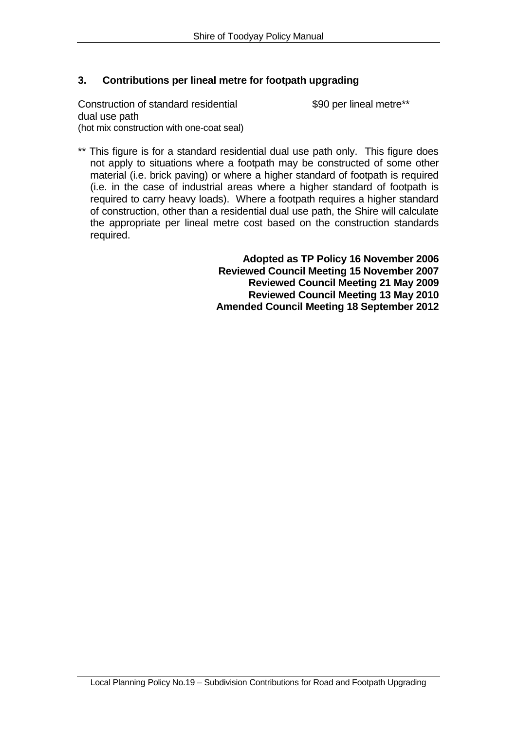### **3. Contributions per lineal metre for footpath upgrading**

Construction of standard residential \$90 per lineal metre\*\* dual use path (hot mix construction with one-coat seal)

\*\* This figure is for a standard residential dual use path only. This figure does not apply to situations where a footpath may be constructed of some other material (i.e. brick paving) or where a higher standard of footpath is required (i.e. in the case of industrial areas where a higher standard of footpath is required to carry heavy loads). Where a footpath requires a higher standard of construction, other than a residential dual use path, the Shire will calculate the appropriate per lineal metre cost based on the construction standards required.

> **Adopted as TP Policy 16 November 2006 Reviewed Council Meeting 15 November 2007 Reviewed Council Meeting 21 May 2009 Reviewed Council Meeting 13 May 2010 Amended Council Meeting 18 September 2012**